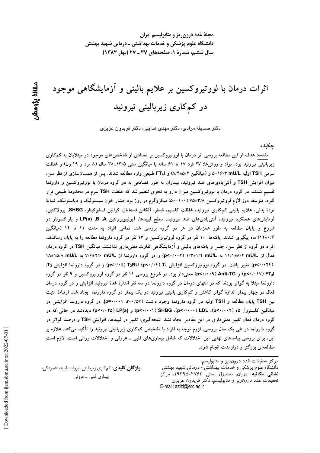مجلهٔ غدد درون ریز و متابولیسم ایران دانشگاه علوم پزشکی و خدمات بهداشتی ــ درمانی شهید بهشتی سال ششم، شمارة ١، صفحههای ٣٧ ـ ٢٧ (بهار ١٣٨٣)

اثرات درمان با لووتیروکسین بر علایم بالینی و آزمایشگاهی موجود در کمکاری زیربالینی تیروئید

دکتر صدیقه مرادی، دکتر مهدی هدایتی، دکتر فریدون عزیزی

#### جكىدە

مقدمه: هدف از این مطالعه بررسی اثر درمان با لووتیروکسین بر تعدادی از شاخصهای موجود در مبتلایان به کمکاری زیربالینی تیروئید بود. مواد و روشها: ۲۷ فرد ۱۷ تا ۶۱ ساله با میانگین سنی ۱۳/۵±۳۸ سال (۸ مرد و ۱۹ زن) و غلظت سرمی TSH اولیه N/۳ mU/L-۵ و (میانگین ۸/۴±۵/۲) و FT<sub>4</sub> طبیعی وارد مطالعه شدند. پس از همسان سازی از نظر سن، میزان افزایش TSH و آنتی بادیهای ضد تیروئید، بیماران به طور تصادفی به دو گروه درمان با لووتیروکسین و دارونما تقسیم شدند. در گروه درمان با لووتیروکسین میزان دارو به نحوی تنظیم شد که غلظت TSH سرم در محدودهٔ طبیعی قرار گیرد. متوسط دوز لازم لووتیروکسین ۳/۸±۷۵ (۱۰۰−۵۰) میکروگرم در روز بود. فشار خون سیستولیک و دیاستولیک، نمایهٔ تودهٔ بدنی، علایم بالینی کمکاری تیروئید، غلظت کلسیم، فسفر، آلکالن فسفاتاز، کراتین فسفوکیناز، SHBG، پرولاکتین، آزمایشهای عملکرد تیروئید، آنتیبادیهای ضد تیروئید، سطح لیپیدها، آپولیپوپروتئین B ،A ، (LP(a و پاراکسوناز در شروع و پایان مطالعه به طور همزمان در هر دو گروه بررسی شد. تمامی افراد به مدت ۱۱ تا ۱۴ (میانگین ۰/۶+۱) ماه پیگیری شدند. یافتهها: ۱۰ نفر در گروه لووتیروکسین و ۱۳ نفر در گروه دارونما مطالعه را به پایان رساندند. افراد دو گروه از نظر سن، جنس و یافتههای بالینی و آزمایشگاهی تفاوت معنیداری نداشتند. میانگین TSH در گروه درمان فعال از ۱۱/۱±۸/۲ mU/L به ۱/۳±۱/۲ mU/L (p<۰/۰۰۲) و در گروه دارونما از ۷/۶±۲/۶ mU/L به ۱۸±۱۵/۸ mU/L به (p<۰/۰۲۴) تغییر یافت. در گروه لووتیروکسین افزایش T4 (p<۰/۰۴) T3RU (p<۰/۰۴) و در گروه دارونما افزایش T3. p<۰/۰۱۷) FT3l) و p<۰/۰۰۹) Anti-TG) معنیدار بود. در شروع بررسی ۱۱ نفر در گروه لووتیروکسین و ۹ نفر در گروه دارونما مبتلا به گواتر بودند که در انتهای درمان در گروه دارونما در سه نفر اندازهٔ غدهٔ تیروئید افزایش و در گروه درمان فعال در چهار بیمار اندازهٔ گواتر کاهش و کمکاری بالینی تیروئید در یک بیمار در گروه دارونما ایجاد شد. ارتباط مثبت بین TSH پایان مطالعه و TSH اولیه در گروه دارونما وجود داشت (۰/۵۶×=r)، p=۰/۰۰۱). در گروه دارونما افزایشی در میانگین کلسترول تام (p<۰/۰۰۰) LDL (p<۰/۰۰۲)، pHBG)، pC۰/۰۰۱) SHBG) و (p<۰/۰۴۵) دیدهشد در حالی که در گروه درمان فعال تغییر معنیداری در این مقادیر ایجاد نشد. نتیجهگیری: تغییر در لیپیدها، افزایش TSH و درصد گواتر در گروه دارونما در طی یک سال بررسی، لزوم توجه به افراد با تشخیص کمکاری زیربالینی تیروئید را تأکید میکند. علاوه بر این، برای بررسی پیامدهای نهایی این اختلالات که شامل بیماریهای قلبی ــ عروقی و اختلالات روانی است، لازم است مطالعهای بزرگتر و درازمدت انجام شود.

**واژگان کلیدی**: کمکاری زیربالینی تیروئید، لیپید، افسردگی، بیماری قلبی ــ عروقی

مركز تحقيقات غدد درون ريز و متابوليسم، دانشگاه علوم پزشکی و خدمات بهداشتی - درمانی شهید بهشتی<br>**نشانی مکاتبه**؛ تهران، صندوق پستی ۴۷۶۳–۱۹۳۹، مرکز

تحقیقات غدد درون ریز و متابولیسم، دکتر فریدون عزیزی E-mail: azizi@erc.ac.ir

ىقانۇ يۆمش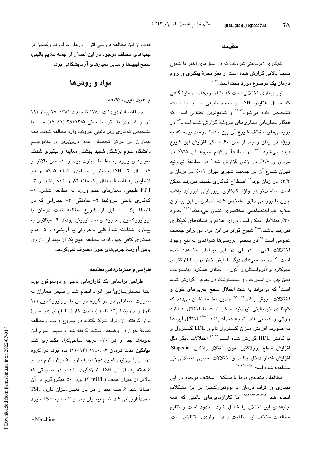### مقدمه

کمکاری زیربالینی تیروئید که در سالهای اخیر با شیوع نسبتاً بالایی گزارش شده است از نظر نحوهٔ پیگیری و لزوم درمان یک موضوع مورد بحث است.<sup>۱-۱۲</sup>

این بیماری اختلالی است که با آزمونهای آزمایشگاهی  $T_3$  حَه شامل افزایش TSH و سطح طبیعی  $T_4$  و  $T_3$  است، تشخیص داده میشود<sup>۱۳،۱۴</sup> و شایعترین اختلالی است که هنگام بیماریابی بیماریهای تیروئید گزارش شده است."` در بررسیهای مختلف شیوع آن بین ۱۰-۲ درصد بوده که به ویژه در زنان و بعد از سن ۶۰ سالگی افزایش این شیوع ديده مي شود.''<sup>-'</sup> در مطالعهٔ ويكهام شيوع آن ۷/۵٪ در مردان و ۲/۸٪ در زنان گزارش شد.<sup>۲</sup> در مطالعهٔ تیروئید تهران شیوع آن در جمعیت شهری تهران ۰/۹٪ در مردان و ٣/٢٪ در زنان بود.<sup>١٥</sup> اصطلاح كمكاري خفيف تيروئيد ممكن است مناسبتر از واژهٔ کمکاری زیربالینی تیروئید باشد، چون با بررسی دقیق مشخص شده تعدادی از این بیماران علایم غیراختصاصی مختصری نشان میدهند.<sup>۱۶٬۱۷</sup> حدود ۳۰٪ مبتلایان ممکن است دارای علایم و نشانههای کمکاری تیروئید باشند.<sup>۴۰۱۸</sup> شیوع گواتر در این افراد دو برابر جمعیت عمومی است.<sup>۱۹</sup> در بعضی بررسیها شواهدی به نفع وجود اختلالات قلبی ـ عروقی در این بیماران مشاهده شده است<sup>۲۰۲</sup> در بررسیهای دیگر افزایش خطر بروز انفارکتوس میوکارد و آترواسکلروز آئورت، اختلال عملکرد دیاستولیک بطن چپ در استراحت و سیستولیک در فعالیت گزارش شده است<sup>۳</sup> که میتواند به علت اختلال سطح چربیهای خون و اختلالات عروقی باشد.<sup>۲۳--۹</sup>۰۲ چندین مطالعه نشان میدهد که کمکاری زیربالینی تیروئید ممکن است با اختلال عملکرد روانی و عصبی قابل توجه همراه باشد. <sup>۲۴-۳۸</sup> اختلال لیپیدها به صورت افزایش میزان کلسترول تام و LDL کلسترول و یا کاهش HDL گزارش شده است. <sup>۲۹-۲۹</sup> اختلالات دیگر مثل افزايش سطح پرولاكتين خون، اختلال رفلكس Stapedial، افزایش فشار داخل چشم، و اختلالات عصبی عضلانی نیز 

مطالعات متعددی دربارهٔ مشکلات مختلف موجود در این بیماری و اثرات درمان با لووتیروکسین بر این مشکلات انجام شد. <sup>۲۸،۲۹،۴۸،۵۲،۵۲</sup>۰ اما کارازمامیهای بالبنی که همهٔ جنبههای این اختلال را شامل شود محدود است و نتایج مطالعات مختلف نیز متفاوت و در مواردی متناقض است.

هدف از این مطالعه بررسی اثرات درمان با لووتیروکسین بر جنبههای مختلف موجود در این اختلال از جمله علایم بالینی، سطح لبیبدها و سایر معبارهای آزمایشگاهی بود.

# مواد و روشها

### جمعيت مورد مطالعه

در فاصلهٔ اردیبهشت ۱۳۸۰ تا مرداد ۱۳۸۱، ۲۷ بیمار (۱۹ زن و ٨ مرد) با متوسط سنى ١٣/٥±٣٨ (٤١٧-١٧) سال با تشخیص کمکاری زیر بالینی تیروئید وارد مطالعه شدند. همه بیماران در مرکز تحقیقات غدد درون٫ریز و متابولیسم دانشگاه علوم پزشکی شهید بهشتی معاینه و پیگیری شدند. معیارهای ورود به مطالعهٔ عبارت بود از: ١- سن بالاتر از ۱۷ سال؛ ۲- TSH بیشتر یا مساوی mU/L ۵ که در دو آزمایش به فاصلهٔ حداقل یک هفته تکرار شده باشد؛ و ۳-FT4I طبیعی. معیارهای عدم ورود به مطالعه شامل: ۱-کمکاری بالینی تیروئید؛ ۲- حاملگی؛ ۳- بیمارانی که در فاصلهٔ یک ماه قبل از شروع مطالعه تحت درمان با لووتیروکسین یا داروهای ضد تیروئید بودند؛ ۴– مبتلایان به بيماري شناخته شدهٔ قلبي ـ عروقي يا آريتمي؛ و ۵- عدم همکاری کافی جهت ادامه مطالعه. هیچ یک از بیماران داروی پایین آورندهٔ چربیهای خون مصرف نمیکردند.

## طراحي و سازمان دهي مطالعه

طراحی براساس یک کارازمایی بالینی و دوسوکور بود. ابتدا همسان سازی<sup>:</sup> بین افراد انجام شد و سپس بیماران به صورت تصادفی در دو گروه درمان با لووتیروکسین (۱۳ نفر) و دارونما (١۴ نفر) (ساخت كارخانهٔ ايران هورمون) قرار گرفتند. از افراد شرکتکننده در شروع و پایان مطالعه نمونهٔ خون در وضعیت ناشتا گرفته شد و سپس سرم این نمونهها جدا و در ۷۰- درجه سانتیگراد نگهداری شد. میانگین مدت درمان ۱۲±۱۲ (۱۴-۱۱) ماه بود. در گروه درمان با لووتيروکسين دوز اوليهٔ دارو ۵۰ ميکروگرم بود و ۶ هفته بعد از آن TSH اندازهگیری شد و در صورتی که بالاتر از میزان هدف (mU/L ۲) بود، ۵۰ میکروگرم به آن اضافه شد. ۶ هفته بعد از هر بار تغییر میزان دارو، TSH مجدداً ارزیابی شد. تمام بیماران بعد از ۳ ماه به TSH مورد

i- Matching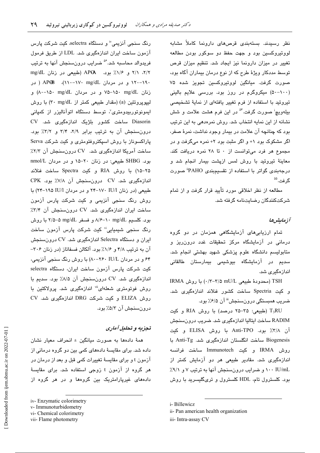نظر رسیدند. بستهبندی قرصهای دارونما کاملاً مشابه لووتيروکسين بود و جهت حفظ دو سوکور بودن مطالعه تغییر در میزان دارونما نیز ایجاد شد. تنظیم میزان قرص توسط مددکار ویژهٔ طرح که از نوع درمان بیماران آگاه بود، صورت گرفت. میانگین لووتیروکسین تجویز شده ۷۵ (۱۰۰–۵۰) میکروگرم در روز بود. بررسی علایم بالینی تیروئید با استفاده از فرم تغییر یافتهای از نمایهٔ تشخیصی بیلهویچ<sup>:</sup> صورت گرفت.<sup>۵۴</sup> در این فرم هشت علامت و شش نشانه از این نمایه انتخاب شد. روش نمرهدهی به این ترتیب بود که چنانچه آن علامت در بیمار وجود نداشت، نمرهٔ صفر، اگر مشکوک بود ۱+ و اگر مثبت بود ۲+ نمره میگرفت و در مجموع هر فرد میتوانست از ۰ تا ۲۸ نمره دریافت کند. معاینهٔ تیروئید با روش لمس ازپشت بیمار انجام شد و درجهبندی گواتر با استفاده از تقسیمبندی PAHO" صورت گ فت. <sup>۵۵</sup>

مطالعه از نظر اخلاقی مورد تأیید قرار گرفت و از تمام شرکتکنندگان رضایتنامه گرفته شد.

# آزمايشرها

تمام ارزیابی های آزمایشگاهی همزمان در دو گروه درمانی در آزمایشگاه مرکز تحقیقات غدد درون٫ریز و متابولیسم دانشگاه علوم یزشکی شهید بهشتی انجام شد. سدیم در آزمایشگاه بیوشیمی بیمارستان طالقانی اندازەگىرى شد.

TSH (محدودهٔ طبیعی mU/L (۰/۳-۳/۵ mU/L ) با روش IRMA و کیت Spectria ساخت کشور فنلاند اندازهگیری شد. ضريب همبستگي درونِسنجش<sup>iii</sup> آن ۶/۵٪ بود.

T3RU (طبیعی: ۳۵-۲۵ درصد) با روش RIA و کیت RADIM ساخت ايتاليا اندازهگيري شد. ضريب درونسنجش آن ٣/٨٪ بود. Anti-TPO با روش ELISA و كيت Biogenesis ساخت انگلستان اندازهگیری شد. Anti-Tg با روش IRMA و كيت Immunotech ساخت فرانسه اندازهگیری شد. مقادیر طبیعی هر دو آزمایش کمتر از ۱۰۰ IU/mL و ضرایب درونسنجش آنها به ترتیب ۷ و ۹/۱٪ بود. کلسترول تام، HDL کلسترول و تریگلیسرید با روش

i-Billewicz

رنگ سنجي آنزيمي" و دستگاه selectra، کيت شرکت پارس آزمون ساخت ایران اندازهگیری شد. LDL از طریق فرمول فریدوالد محاسبه شد.<sup>۵۶</sup> ضرایب درونسنجش آنها به ترتیب ۲/۲، ۲/۱ و ۱/۶٪ بود. APGA (طبیعی در زنان mg/dL ۰/۹۰–۱۲۰ و در مردان APB (۱۱۰–۱۷۰ mg/dL)، AP زنان ng/dL -۱۵۰ mg/dL و در مردان ng/dL) و ليپوپروتئين (a) (مقدار طبيعي كمتر از mg/dL) با روش ایمونوتوربیدومتری<sup>7</sup>، توسط دستگاه اتوآنالیزر از کمپانی Diasorin ساخت کشور بلژیک اندازهگیری شد. CV درونسنجش آن به ترتیب برابر ۲/۹، ۳/۴ و ۳/۲٪ بود. پاراکسوناز با روش اسپکتروفتومتری و کیت شرکت Serva ساخت آمریکا اندازهگیری شد. CV درونسنجش آن ۲/۳٪ بود. SHBG طبیعی: در زنان ٢٠-١۵ و در مردان nmol/L ۲۵–۱۵) با روش RIA و کیت Spectra ساخت فنلاند اندازهگیری شد. CV درونسنجش آن ۷/۸٪ بود. CPK طبیعی (در زنان ۱۷/۱ -۱۷+۲۴ و در مردان IU/l ۱۹۵-۲۴) با روش رنگ سنجی آنزیمی و کیت شرکت پارس آزمون ساخت ایران اندازهگیری شد. CV درونسنجش آن ۳/۴٪ بود. کلسیم A/۶-۱۰ mg/dL و فسفر mg/dL ۵-۵ /۲ با روش رنگ سنجی شیمیایی<sup>ن</sup> کیت شرکت پارس آزمون ساخت ایران و دستگاه Selectra اندازهگیری شد. CV درونسنجش آن به ترتیب ۴/۸ و ۱/۶٪ بود. آلکالن فسفاتاز (در زنان ۳۰۶– ۶۴ و در مردان IU/L ۲۶۰-۸۰) با روش رنگ سنجی آنزیمی، كيت شركت پارس آزمون ساخت ايران، دستگاه selectra اندازهگیری شد. CV درونسنجش آن ۸/۵٪ بود. سدیم با روش فوتومتری شعلهای<sup>ivi</sup> اندازهگیری شد. پرولاکتین با روش ELIZA و كتت شركت DRG اندازهگيري شد. CV درونسنجش آن ۵/۳٪ بود.

# تجزيه و تحليل آماري

همهٔ دادهها به صورت میانگین ± انحراف معیار نشان داده شد. برای مقایسهٔ دادههای کمی بین دو گروه درمانی از آزمون t و برای مقایسهٔ تغییرات کمی قبل و بعد از درمان در هر گروه از آزمون t زوجی استفاده شد. برای مقایسهٔ دادههای غیرپارامتریک بین گروهها و در هر گروه از

ii- Pan american health organization

iii- Intra-assay CV

iv-Enzymatic colorimetry

v- Immunoturbidometry

vi- Chemical colorimetry vii- Flame photometry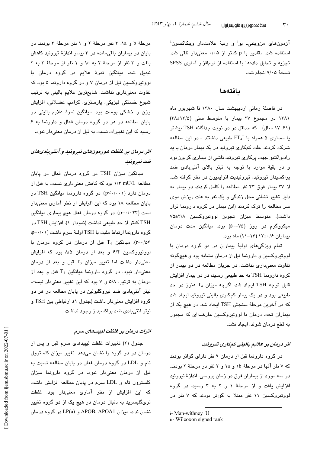آزمونها*ی* منویتنی۔ یو<sup>ا</sup> و رتبهٔ علامتدار ویلکاکسون<sup>ة</sup> استفاده شد. مقادیر با p کمتر از ۰/۰۵ معنیدار تلقی شد. تجزیه و تحلیل دادهها با استفاده از نرمافزار آماری SPSS نسخة ٩/٠٥ انجام شد.

# بافتهها

در فاصلهٔ زمانی اردیبهشت سال ۱۳۸۰ تا شهریور ماه ۱۳۸۱ در مجموع ۲۷ بیمار با متوسط سنی (۱۳/۵±۲۸) (۶۱–۱۷ سال) ـ که حداقل در دو نوبت جداگانه TSH بیشتر یا مساوی ۵ همراه با FT4I طبیعی داشتند ـ در این مطالعه شرکت کردند. علت کمکاری تیروئید در یک بیمار درمان با ید رادیواکتیو جهت پرکاری تیروئید ناشی از بیماری گریوز بود و در بقیهٔ موارد با توجه به تیتر بالای آنتیبادی ضد پراکسیداز تیروئید، تیروئیدیت اتواپمیون در نظر گرفته شد. از ٢٧ بیمار فوق ٢٣ نفر مطالعه را كامل كردند. دو بیمار به دلیل تغییر نشانی محل زندگی و یک نفر به علت ریزش موی سر مطالعه را ترک کردند (این بیمار در گروه دارونما قرار داشت). متوسط میزان تجویز لووتیروکسین ۷۵±۲٪ میکروگرم در روز (۷۵–۵۰) بود. میانگین مدت درمان بیماران ۱۲±۱۲ (۱۴-۱۱) ماه بود.

تمام ویژگی های اولیهٔ بیماران در دو گروه درمان با لووتیروکسین و دارونما قبل از درمان مشابه بود و هیچگونه تفاوت معنى دارى نداشت. در جريان مطالعه در دو بيمار از گروه دارونما TSH به حد طبیعی رسید، در دو بیمار افزایش قابل توجه TSH ایجاد شد، اگرچه میزان T<sub>4</sub> هنوز در حد طبیعی بود و در یک بیمار کمکاری بالینی تیروئید ایجاد شد که در آخرین مرحلهٔ سنجش TSH ایجاد شد. در هیچ یک از بیماران تحت درمان با لووتیروکسین عارضهای که مجبور به قطع درمان شوند، ایجاد نشد.

## اثر درمان بر علایم بالینی کمکاری تیروئید

در گروه دارونما قبل از درمان ۹ نفر دارای گواتر بودند که ۷ نفر آنها در مرحلهٔ ۱b و ۱۵ و ۲ نفر در مرحلهٔ ۲ بودند. در سه مورد از بیماران فوق در زمان بررسی، اندازهٔ تیروئید افزایش یافت و از مرحلهٔ ۱ و ۲ به ۳ رسید. در گروه لووتیروکسین ۱۱ نفر مبتلا به گواتر بودند که ۷ نفر در

مرحلهٔ b و ۰۱۵ تا نفر مرحلهٔ ۲ و ۱ نفر مرحلهٔ ۳ بودند. در پایان در بیماران باقی مانده در ۴ بیمار اندازهٔ تیروئید کاهش یافت و ۳ نفر از مرحلهٔ ۲ به ۱۵ و ۱ نفر از مرحلهٔ ۳ به ۲ تبدیل شد. میانگین نمرهٔ علایم در گروه درمان با لووتیروکسین قبل از درمان ۷ و در گروه دارونما ۵ بود که تفاوت معنىدارى نداشت. شايعترين علايم باليني به ترتيب شیوع خستگی فیزیکی، پارستزی، کرامپ عضلانی، افزایش وزن و خشکی پوست بود. میانگین نمرهٔ علایم بالینی در پایان مطالعه در هر دو گروه درمان فعال و دارونما به ۶ رسید که این تغییرات نسبت به قبل از درمان معنیدار نبود.

# اثر درمان در غلظت هورمونهای تدروئید و آنتےبادیهای ضد تيروئيد

میانگین میزان TSH در گروه درمان فعال در پایان مطالعه ١/٣ mU/L بود كه كاهش معنى دارى نسبت به قبل از درمان دارد (p<۰/۰۰۱). در گروه دارونما میانگین TSH در پایان مطالعه ۱۸ بود که این افزایش از نظر آماری معنیدار است (p=۰/۰۲۴). در گروه درمان فعال هیچ بیماری میانگین TSH كمتر از حد طبيعي نداشت (نمودار ١). افزايش TSH در گروه دارونما ارتباط مثبت با TSH اولیهٔ سرم داشت (۰٫۱-p=۰/۰۱ r=۰/۵۶). میانگین T<sub>4</sub> قبل از درمان در گروه درمان با لووتیروکسین ۶/۴ و بعد از درمان ۸/۵ بود که افزایش معنى دار داشت اما تغيير ميزان T3 قبل و بعد از درمان معنی دار نبود. در گروه دارونما میانگین  $\rm T_4$  قبل و بعد از درمان به ترتیب ۵/۸ و ۷ بود که این تغییر معنیدار نیست. تیتر آنتیبادی ضد تیروگلبولین در پایان مطالعه در هر دو گروه افزایش معنیدار داشت (جدول ۱). ارتباطی بین TSH و تیتر آنتیبادی ضد پراکسیداز وجود نداشت.

# اثرات درمان بر غلظت لیپیدهای سرم

جدول (٢) تغییرات غلظت لیپیدهای سرم قبل و پس از درمان در دو گروه را نشان میدهد. تغییر میزان کلسترول تام و LDL در گروه درمان فعال در پایان مطالعه نسبت به قبل از درمان معنى دار نبود. در گروه دارونما ميزان كلسترول تام و LDL سرم در پايان مطالعه افزايش داشت که این افزایش از نظر آماری معنیدار بود. غلظت تریگلیسرید به دنبال درمان در هیچ یک از دو گروه تغییر نشان نداد. میزان APOB, APOA1 و LP(a) در گروه درمان

i- Man-withney U

ii- Wilcoxon signed rank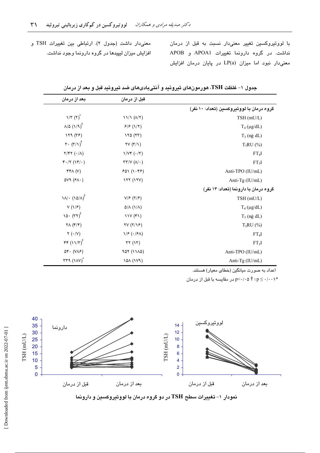با لووتیروکسین تغییر معنیدار نسبت به قبل از درمان نداشت. در گروه دارونما تغییرات APOA1 و APOB معنی دار نبود اما میزان (LP(a در پایان درمان افزایش

معنى دار داشت (جدول ٢). ارتباطى بين تغييرات TSH و افزایش میزان لیپیدها در گروه دارونما وجود نداشت.

| جدول ۱– غلظت TSH، هورمونهای تیروئید و آنتیبادیهای ضد تیروئید قبل و بعد از درمان |
|---------------------------------------------------------------------------------|
|---------------------------------------------------------------------------------|

| بعد از درمان                                         | قبل از درمان                                                     |                                           |
|------------------------------------------------------|------------------------------------------------------------------|-------------------------------------------|
|                                                      |                                                                  | گروه درمان با لووتیروکسین (تعداد: ۱۰ نفر) |
| $\frac{1}{\tau}$                                     | $11/1 (A/T)$                                                     | TSH (mU/L)                                |
| $\Lambda/\Omega$ $(\Lambda/\Lambda)^\dagger$         | F/F(N)                                                           | $T_4$ (µg/dL)                             |
| 179 (75)                                             | 170 (57)                                                         | $T_3$ (ng dL)                             |
| $\mathbf{r} \cdot (\mathbf{r}/\mathbf{v})^{\dagger}$ | $\tau v(\tau/\nu)$                                               | $T_3RU(%)$                                |
| $Y/YY (\cdot/\Lambda)$                               | $\frac{\gamma}{\gamma}$                                          | FT <sub>4</sub> I                         |
| $Y \cdot / Y (Y \cdot)$                              | $\mathsf{TT}/\mathsf{V}\,\left(\mathsf{A}/\mathsf{\cdot}\right)$ | FT <sub>3</sub> I                         |
| $Y^{\ast}$ A $(V)$                                   | 501 (1.95)                                                       | Anti-TPO (IU/mL)                          |
| $\Delta V$ ۹ (۶ $\Lambda$ ·)                         | 157 (150)                                                        | Anti-Tg (IU/mL)                           |
|                                                      |                                                                  | گروه درمان با دارونما (تعداد: ۱۳ نفر)     |
| $N/\cdot (N\omega/\Lambda)^T$                        | V/F (Y/F)                                                        | TSH (mU/L)                                |
| V(N/F)                                               | $\Delta/\Lambda$ $(\lambda/\Lambda)$                             | $T_4$ (µg/dL)                             |
| $10 \cdot (77)^T$                                    | 11V(f1)                                                          | $T_3$ (ng dL)                             |
| $\forall \Lambda (\mathfrak{r}/\mathfrak{r})$        | $\forall V(\forall/\lambda \in)$                                 | $T3RU$ (%)                                |
| $\mathbf{Y}(\cdot/\mathbf{V})$                       | $\frac{1}{2}$ ( $\cdot$ / $\approx$ $\wedge$ )                   | FT <sub>4</sub> I                         |
| $rr(N/T)^T$                                          | $\tau\tau$ $(\tau\tau)$                                          | FT <sub>3</sub> I                         |
| $\Delta f \cdot (V \Lambda F)$                       | 101(1110)                                                        | Anti-TPO (IU/mL)                          |
| $rr9 (1AV)^*$                                        | 10A (119)                                                        | Anti-Tg (IU/mL)                           |

اعداد به صورت میانگین (خطای معیار) هستند.

در مقایسه با قبل از درمان p<-/-۵  $p$  در مقایسه با قبل از درمان



نمودار ۱- تغییرات سطح TSH در دو گروه درمان با لووتیروکسین و دارونما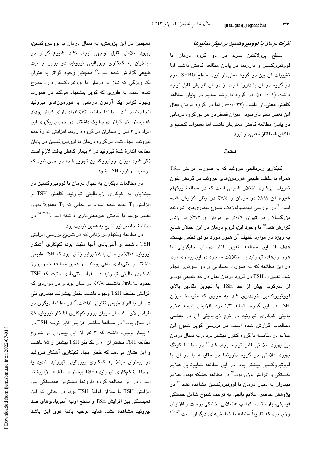## اثرات درمان با لووتيروكسين بر ديگر متغيرها

سطح پرولاکتین سرم در دو گروه درمان با لووتیروکسین و دارونما در پایان مطالعه کاهش داشت اما تغییرات آن بین دو گروه معنیدار نبود. سطح SHBG سرم در گروه درمان با دارونما بعد از درمان افزایش قابل توجه داشت (p=۰/۰۱). در گروه دارونما سدیم در پایان مطالعه کاهش معنی دار داشت (p=۰/۰۳۲) اما در گروه درمان فعال این تغییر معنیدار نبود. میزان فسفر در هر دو گروه درمانی در پایان مطالعه کاهش معنیدار داشت اما تغییرات کلسیم و آلكالن فسفاتان معنى دار نبود.

# ىحث

کمکاری زیربالینی تیروئید که به صورت افزایش TSH همراه با غلظت طبیعی هورمونهای تیروئید در گردش خون تعریف میشود، اختلال شایعی است که در مطالعهٔ ویکهام شیوع آن ۲/۸٪ در مردان و ۷/۵٪ در زنان گزارش شده است.<sup>۲</sup> در بررسی اپیدمیولوژیک، شیوع بیماریهای تیروئی*د* بزرگسالان در تهران ۰/۹٪ در مردان و ۳/۲٪ در زنان گزارش شد.<sup>۱۵</sup> با وجود این، لزوم درمان در این اختلال شایع به ویژه در موارد خفیف آن هنوز مورد توافق قطعی نیست. هدف از این مطالعه، تعیین آثار درمان جایگزینی با هورمونهای تیروئید بر اختلالات موجود در این بیماری بود. در این مطالعه که به صورت تصادفی و دو سوکور انجام شد، تغییرات TSH در گروه درمان فعال در حد طبیعی بود و از سرکوب بیش از حد TSH با تجویز مقادیر بالای لووتیروکسین خودداری شد. به طوری که متوسط میزان .<br>TSH در این گروه MU/L ۱/۳ mU/L بود. افزایش شیوع علایم بالینی کمکاری تیروئید در نوع زیربالینی آن در بعضی مطالعات گزارش شده است. در بررسی کویر شیوع این علایم در مقایسه با گروه کنترل بیشتر بود و به دنبال درمان نيز بهبود علامتي قابل توجه ايجاد شد<sup>.۲</sup>۰ در مطالعهٔ کونگ بهبود علامتی در گروه دارونما در مقایسه با درمان با لووتیروکسین بیشتر بود. در این مطالعه شایعترین علایم خستگی و افزایش وزن بود.<sup>۵۷</sup> در مطالعهٔ جشکه بهبود علایم بیماران به دنبال درمان با لووتیروکسین مشاهده نشد.<sup>۵۳</sup> در پژوهش حاضر، علايم باليني به ترتيب شيوع شامل خستگي فیزیکی، پارستزی، کرامپ عضلانی، خشکی پوست و افزایش وزن بود که تقریباً مشابه با گزارشهای دیگران است.<sup>۴،۲۰۵۲</sup>

همچنین در این پژوهش، به دنبال درمان با لووتیروکسین، بهبود علامتی قابل توجهی ایجاد نشد. شیوع گواتر در مبتلایان به کمکار*ی* زیربالینی تیروئید دو برابر جمعیت طبیعی گزارش شده است.<sup>۱۹</sup> همچنین وجود گواتر به عنوان یک ویژگی که نیاز به درمان با لووتیروکسین دارد مطرح شده است، به طوری که کوپر پیشنهاد میکند در صورت وجود گواتر یک آزمون درمانی با هورمونهای تیروئید انجام شود. <sup>۲۰</sup> در مطالعهٔ حاضر ۷۴٪ افراد دارای گواتر بودند که بیشتر آنها گواتر درجهٔ یک داشتند. در جریان پیگیری این افراد در ۳ نفر از بیماران در گروه دارونما افزایش اندازهٔ غده تیروئید ایجاد شد. در گروه درمان با لووتیروکسین در پایان مطالعه اندازهٔ غدهٔ تیروئید در ۴ بیمار کاهش یافت. لازم است ذکر شود میزان لووتیروکسین تجویز شده در حدی نبود که موجب سرکوب TSH شود.

در مطالعات دیگران به دنبال درمان با لووتیروکسین در مبتلایان به کمکاری زیربالینی تیروئید، کاهش TSH و افزایش  $T_4$  دیده شده است. در حالی که  $T_3$  معمولاً بدون <mark>تغیی</mark>ر بوده، یا کاهش غیرمعنیداری داشته است،<sup>۵۲،۲۹،۲</sup> در مطالعهٔ حاضر نیز نتایج به همین ترتیب بود.

در مطالعهٔ ویکهام در زنانی که در شروع بررسی افزایش TSH داشتند و آنتی بادی آنها مثبت بود، کمکاری آشکار تیروئید ۳/۳٪ در سال یا ۳۸ برابر زنانی بود که TSH طبیعی داشتند و آنتیبادی منفی بودند. در همین مطالعه خطر بروز کمکاری بالینی تیروئید در افراد آنتیبادی مثبت که TSH حدود ۶mU/L داشتند، ۲/۸٪ در سال بود و در مواردی که افزايش خفيف TSH وجود داشت، خطر پيشرفت بيماري طي ۵ سال با افراد طبیعی تفاوتی نداشت.<sup>۲۷</sup> در مطالعهٔ دیگر*ی* در افراد بالای ۶۰ سال میزان بروز کمکاری آشکار تیروئید ۸٪ در سال بود.<sup>۵</sup> در مطالعهٔ حاضر افزایش قابل توجه TSH در ۴ بیمار وجود داشت که ۳ نفر از این بیماران در شروع مطالعه TSH بیشتر از ۱۰ و یک نفر TSH بیشتر از ۱۵ داشت و این نشان میدهد که خطر ایجاد کمکاری آشکار تیروئید در بیماران مبتلا به کمکاری زیربالینی تیروئید شدید یا مرحلهٔ C کمکاری تیروئید (TSH بیشتر از ۱۰mU/L) بیشتر است. در این مطالعه گروه دارونما بیشترین همبستگی بین افزایش TSH با میزان اولیهٔ TSH بود. در حالی که این همبستگی بین افزایش TSH و سطح اولیهٔ آنتیبادیهای ضد تیروئید مشاهده نشد. شاید توجیه یافتهٔ فوق این باشد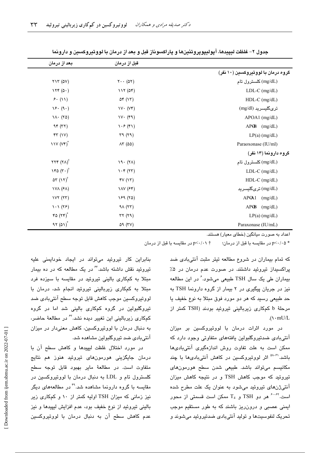| بعد از درمان                                                     | قبل از درمان                              |                                    |
|------------------------------------------------------------------|-------------------------------------------|------------------------------------|
|                                                                  |                                           | گروه درمان با لووتیروکسین (۱۰ نفر) |
| $Y \setminus Y$ ( $\Delta V$ )                                   | $Y \cdot \cdot (2Y)$                      | (mg/dL) کلسترول تام                |
| $\lambda Y^* (\delta \cdot)$                                     | 117(29)                                   | $LDL-C$ (mg/dL)                    |
| $F\cdot (11)$                                                    | $\Delta f$ $(Y)$                          | HDL-C (mg/dL)                      |
| $Y$ $(9)$                                                        | $V \cdot (V^*)$                           | ترىگليسريد (mg/dl)                 |
| $\lambda \wedge (\Upsilon \Delta)$                               | $V \cdot (49)$                            | APOA1 (mg/dL)                      |
| 94 (77)                                                          | $\lambda \cdot \mathcal{F}(\mathfrak{f})$ | $APGB$ (mg/dL)                     |
| rr(N)                                                            | $\tau$ 9 ( $\tau$ 9)                      | $LP(a)$ (mg/dL)                    |
| $\binom{1}{x}$                                                   | $\Lambda \Upsilon$ (00)                   | Paraoxonase (IU/ml)                |
|                                                                  |                                           | گروه دارونما (۱۳ نفر)              |
| $\mathsf{Y}\mathsf{Y}\mathsf{Y}$ $(\mathsf{Y}\Lambda)^{\dagger}$ | 19. (7)                                   | (mg/dL) كلسترول تام                |
| $\lambda$ $\uparrow$ $\circ$ $(\uparrow \cdot)^\dagger$          | $\lambda \cdot f(\tau)$                   | $LDL-C$ (mg/dL)                    |
| $\Delta \Upsilon \left( \Upsilon \Upsilon \right)^\dagger$       | YV(Y)                                     | HDL-C (mg/dL)                      |
| <b>IVA (FA)</b>                                                  | <b>IAV</b> (۶۴)                           | (mg/dL) ترىگليسريد                 |
| VY(5)                                                            | 159(70)                                   | APOA1 (mg/dL)                      |
| 1.1 (75)                                                         | $9\Lambda (77)$                           | $AP@B$ (mg/dL)                     |
| $40 (74)^*$                                                      | $\tau\tau$ ( $\tau\gamma$ )               | $LP(a)$ (mg/dL)                    |
| $97 (01)^*$                                                      | 09 (TV)                                   | Paraxonase (IU/mL)                 |

جدول ۲– غلظت ليپيدها، آپوليپوپروتئينها و پاراكسوناز قبل و بعد از درمان با لووتيروكسين و دارونما

اعداد به صورت مبانگین (خطای معبار) هستند.

p<٠/٠١ † در مقایسه با قبل از درمان \* p<٠/٠۵ در مقايسه با قبل از درمان؛

> که تمام بیماران در شروع مطالعه تیتر مثبت آنتیبادی ضد پراکسیداز تیروئید داشتند. در صورت عدم درمان در ۵٪ بیماران طی یک سال TSH طبیعی میشود. ٔ در این مطالعه نیز در جریان پیگیری در ۲ بیمار از گروه دارونما TSH به حد طبیعی رسید که هر دو مورد فوق مبتلا به نوع خفیف یا مرحلهٔ b کمکاری زیربالینی تیروئید بودند (TSH کمتر از  $\cdot$ ( $\cdot$ mU/L

> در مورد اثرات درمان با لووتیروکسین بر میزان آنتیبادی ضدتیروگلبولین یافتههای متفاوتی وجود دارد که ممکن است به علت تفاوت روش اندازهگیری آنتیبادیها باشد.<sup>۶۱–۵۸</sup> اثر لووتیروکسین در کاهش آنتیبادیها با چند مکانیسم میتواند باشد. طبیعی شدن سطح هورمونهای تیروئید که موجب کاهش TSH و در نتیجه کاهش میزان آنتیژنهای تیروئید میشود به عنوان یک علت مطرح شده است.''<sup>۶-.ء</sup>ُ هر دو TSH و  $\mathrm{T}_4$  ممکن است قسمتی از محور ایمنی عصبی و درون ریز باشند که به طور مستقیم موجب تحريک لنفوسيتها و توليد آنتيبادي ضدتيروئيد مي شوند و

بنابراین کار تیروئید میتواند در ایجاد خودایمنی علیه تیروئید نقش داشته باشد.<sup>۴</sup> در یک مطالعه که در ده بیمار مبتلا به کمکاری بالینی تیروئید در مقایسه با سیزده فرد مبتلا به کمکاری زیربالینی تیروئید انجام شد، درمان با لووتیروکسین موجب کاهش قابل توجه سطح آنتیبادی ضد تیروگلبولین در گروه کمکاری بالینی شد اما در گروه کمکاری زیربالینی این تغییر دیده نشد.<sup>۶۲</sup> در مطالعهٔ حاضر، به دنبال درمان با لووتیروکسین، کاهش معنیدار در میزان آنتیبادی ضد تیروگلبولین مشاهده شد.

در مورد اختلال غلظت ليپيدها و كاهش سطح آن با درمان جايگزينی هورمونهای تيروئيد هنوز هم نتايج متفاوت است. در مطالعهٔ مایر بهبود قابل توجه سطح کلسترول تام و LDL به دنبال درمان با لووتیروکسین در مقایسه با گروه دارونما مشاهده شد.<sup>۲۹</sup> در مطالعههای دیگر نیز زمانی که میزان TSH اولیه کمتر از ۱۰ و کمکاری زیر باليني تيروئيد از نوع خفيف بود، عدم افزايش ليپيدها و نيز عدم کاهش سطح آن به دنبال درمان با لووتیروکسین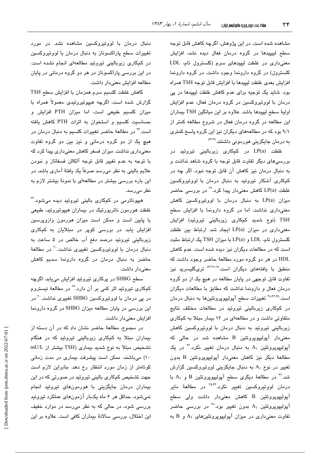مشاهده شده است. در این پژوهش، اگرچه کاهش قابل توجه سطح لیپپیدها در گروه درمان فعال دیده نشد، افزایش معنیداری در غلظت لیپیدهای سرم (کلسترول تام، LDL کلسترول) در گروه دارونما وجود داشت. در گروه دارونما افزايش بعدى غلظت ليپيدها با افزايش قابل توجه TSH همراه بود. شاید یک توجیه برای عدم کاهش غلظت لیپیدها در پی درمان با لووتیروکسین در گروه درمان فعال، عدم افزایش اولية سطح ليپيدها باشد. علاوه بر اين ميانگين TSH بيماران این مطالعه در گروه درمان فعال در شروع مطالعه کمتر از ۹/۱ بود که در مطالعههای دیگران نیز این گروه پاسخ کمتری به درمان جایگزینی هورمونی داشتند.<sup>۵۶،۴۸</sup>

غلظت (LP(a در کمکاری زیربالینی تیروئید در بررسیهای دیگر تفاوت قابل توجه با گروه شاهد نداشت و به دنبال درمان نيز كاهش آن قابل توجه نبود، اگر چه در کمکاری آشکار تیروئید به دنبال درمان با لووتیروکسین غلظت (LP(a کاهش معنیدار پیدا کرد.<sup>۲۹</sup> در بررس*ی* حاضر میزان (LP(a به دنبال درمان با لووتیروکسین کاهش معنی داری نداشت. اما در گروه دارونما با افزایش سطح TSH (نوع شدید کمکاری زیربالینی تیروئید) افزایش معنی داری در میزان (LP(a ایجاد شد. ارتباط بین غلظت کلسترول تام، LDL و LP(a) با میزان TSH یک ارتباط مثبت است که در مطالعات دیگران نیز دیده شده است. عدم کاهش HDL در هر دو گروه مورد مطالعهٔ حاضر وجود داشت که منطبق با یافتههای دیگران است.<sup>۵۶،۳۸،۱۵</sup> تریگلیسرید نیز تفاوت قابل توجهی در پایان مطالعه در هیچ یک از دو گروه درمان فعال و دارونما نداشت كه مطابق با مطالعات ديگران است. <sup>۴۸٬۴۶٬۴۵</sup> تغییرات سطح آپولیپوپروتئینها به دنبال درمان در کمکاری زیربالینی تیروئید در مطالعات مختلف نتایج متفاوتی داشت و در مطالعهای در ۱۳ بیمار مبتلا به کمکاری زیربالینی تیروئید به دنبال درمان با لووتیروکسین کاهش معنیدار آپولیپوپروتئین B مشاهده شد در حالی که آپولیپوپروتئین  $\rm A_1$  به دنبال درمان تغییر نکرد. ۴ در یک مطالعهٔ دیگر نیز کاهش معنیدار آپولیپوپروتئین B بدون تغییر در نوع A1 به دنبال جایگزینی لووتیروکسین گزارش شد. په در مطالعهٔ دیگری سطح آپولیپوپروتئین B و  $\rm A_{1}$  با $\rm A$ درمان لووتیروکسین تغییر نکرد.<sup>۴۵،۴۴</sup> در مطالعهٔ مایر آپولیپوپروتئین B کاهش معنیدار داشت ولی سطح آپولیپوپروتئین  $\rm A_{1}$  بدون تغییر بود. $^{*}$  در بررسی حاضر تفاوت معنیداری در میزان آپولیپوپروتئینهای  $A_1$  و  $B$  به

دنبال درمان با لووتیروکسین مشاهده نشد. در مورد تغییرات سطح پاراکسوناز به دنبال درمان با لووتیروکسین در کمکاری زیربالینی تیروئید مطالعهای انجام نشده است. در این بررسی پاراکسوناز در هر دو گروه درمانی در پایان مطالعه افزایش معنیدار داشت.

كاهش غلظت كلسيم سرم همزمان با افزايش سطح TSH گزارش شده است، اگرچه هیپوتیروئیدی معمولاً همراه با میزان کلسیم طبیعی است، اما میزان PTH افزایش و حساسیت کلسیم و استخوان به اثرات PTH کاهش یافته است.<sup>۴۴</sup> در مطالعهٔ حاضر تغییرات کلسیم به دنبال درمان در هیچ یک از دو گروه درمانی و نیز بین دو گروه تفاوت معنیداری نداشت. میزان فسفر کاهش معنیداری پیدا کرد که با توجه به عدم تغییر قابل توجه آلکالن فسفاتاز و نبودن علایم بالینی به نظر میرسد صرفاً یک یافتهٔ آماری باشد. در این باره بررسی بیشتر در مطالعهای با نمونهٔ بیشتر لازم به نظر مے رسد.

هیپوناترمی در کمکاری بالینی تیروئید دیده میشود.<sup>۳</sup> غلظت هورمون ناتریورتیک در بیماران هیپوتیروئید، طبیعی یا پایین است و ممکن است میزان هورمون وازوپرسین افزایش یابد. در بررسی کوپر در مبتلایان به کمکاری زیربالینی تیروئید درصد دفع آب خالص در ۵ ساعت به دنبال درمان با لووتیروکسین تغییری نداشت.<sup>۲</sup>۰ در مطالعهٔ حاضر به دنبال درمان در گروه دارونما سدیم کاهش معنى دار داشت.

سطح SHBG در پرکاری تیروئید افزایش میبابد، اگرچه کمکاری تیروئید اثر کمی بر آن دارد.<sup>۶۴</sup> در مطالعهٔ نیستروم در پی درمان با لووتیروکسین SHBG تغییری نداشت.<sup>۳۰</sup> در این بررسی در پایان مطالعه میزان SHBG در گروه دارونما افزایش معنی،دار داشت.

در مجموع، مطالعهٔ حاضر نشان داد که در آن دسته از بیماران مبتلا به کمکاری زیربالینی تیروئید که در هنگام تشخیص مبتلا به نوع شدید بیماری (TSH بیشتر از mU/L ١٠) مىباشند، ممكن است پيشرفت بيمارى در مدت زمانى کوتاهتر از زمان مورد انتظار رخ دهد. بنابراین لازم است جهت تشخیص کمکاری بالینی تیروئید در صورتی که در این بیماران درمان جایگزینی با هورمونهای تیروئید انجام نمیشود، حداقل هر ۶ ماه یکبار آزمونهای عملکرد تیروئید بررسی شود، در حالی که به نظر میرسد در موارد خفیف این اختلال، بررسی سالانهٔ بیماران کافی است. علاوه بر این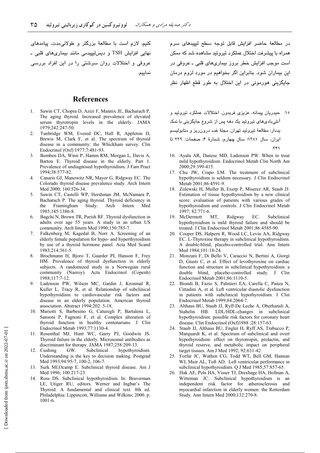كنيم، لازم است با مطالعهٔ بزرگتر و طولانى مدت، پيامدهاى نھایی افزایش TSH و دیس لیپیدمی مانند بیماریھای قلبی ۔ عروقی و اختلالات روان سرشتی را در این افراد بررسی نماييم.

## **References**

- 1. Sawin CT, Chopra D, Azizi F, Mannix JE, Bacharach P. The aging thyroid. Increased prevalence of elevated serum thyrotropin levels in the elderly. JAMA 1979;242:247-50.
- Tunbridge WM, Evered DC, Hall R, Appleton D,  $2.$ Brewis M, Clark F, et al. The spectrum of thyroid disease in a community: the Whickham survey. Clin Endocrinol (Oxf) 1977;7:481-93.
- Bemben DA, Winn P, Hamm RM, Morgan L, Davis A,  $3<sub>1</sub>$ Barton E. Thyroid disease in the elderly. Part 1. Prevalence of undiagnosed hypothyroidism. J Fam Pract 1994;38:577-82.
- Canaris GJ, Manowitz NR, Mayor G, Ridgway EC. The  $4<sup>1</sup>$ Colorado thyroid disease prevalence study. Arch Intern Med 2000: 160:526-34.
- Sawin CT, Castelli WP, Hershman JM, McNamara P,  $5<sub>1</sub>$ Bacharach P. The aging thyroid. Thyroid deficiency in Arch the Framingham Study. Intern Med 1985;145:1386-8.
- Bagchi N, Brown TR, Parish RF. Thyroid dysfunction in 6. adults over age 55 years. A study in an urban US community. Arch Intern Med 1990;150:785-7.
- Falkenberg M, Kagedal B, Norr A. Screening of an elderly female population for hypo- and hyperthyroidism by use of a thyroid hormone panel. Acta Med Scand 1983;214:361-5.
- 8. Brochmann H, Bjoro T, Gaarder PI, Hanson F, Frev HM. Prevalence of thyroid dysfunction in elderly subjects. A randomized study in a Norwegian rural community (Naeroy). Acta Endocrinol (Copenh) 1988:117:7-12.
- 9 Ladenson PW, Wilson MC, Gardin J, Kronmal R, Kuller L, Tracy R, et al. Relationship of subclinical hypothyroidism to cardiovascular risk factors and disease in an elderly population. American thyroid association. Abstract 1994;202: 5-18.
- 10. Mariotti S, Barbesino G, Caturegli P, Bartalena L, Sansoni P, Fagnoni F, et al. Complex alteration of thyroid function in healthy centenarians. J Clin Endocrinol Metab 1993;77:1130-4.
- 11. Rosenthal MJ, Hunt WC, Garry PJ, Goodwin JS, Thyroid failure in the elderly. Microsomal antibodies as discriminant for therapy. JAMA 1987;258:209-13.
- 12. Cushing GW. Subclinical hypothyroidism. Understanding is the key to decision making. Postgrad Med 1993;94:95-7, 100-2, 106-7.
- 13. Surk MI, Ocamp E. Subclinical thyroid disease. Am J Med 1996; 100:217-23.
- 14. Ross DS. Subclinical hypothyroidism. In: Braverman LE, Utiger RU, editors. Werner and Ingbar's The Thyroid: A fundamental and clinical text. 8th ed. Philadelphia: Lippincott, Williams and Wilkins; 2000. p.  $1001 - 6$

در مطالعهٔ حاضر افزایش قابل توجه سطح لیپیدهای سرم همراه يا پيشر فت اختلال عملکر د تيروئيد مشاهده شد که ممکن است موجب افزایش خطر بروز بیماریهای قلبی ــ عروقی در این بیماران شود. بنابراین اگر بخواهیم در مورد لزوم درمان جایگزینی هورمونی در این اختلال به طور قطع اظهار نظر

- ١٥. حيدريان پيمانه، عزيزي فريدون. اختلالات عملكرد تيروئيد و آنتی بادی های تیروئید یک دهه پس از شروع جایگزینی با نمک يددار: مطالعهٔ تيروئيد تهران. مجلهٔ غدد درونريز و متابوليسم ایران، سال ۱۳۸۱؛ سال چهارم، شمارهٔ ۴، صفحات: ۲۲۹ تا .۲۴۱
- 16. Ayala AR, Danese MD, Ladenson PW. When to treat mild hypothyroidism. Endocrinol Metab Clin North Am 2000:29:399-415.
- 17. Chu JW, Crapo LM. The treatment of subclinical hypothyroidism is seldom necessary. J Clin Endocrinol Metab 2001;86:4591-9.
- 18. Zulewski H, Muller B, Exerp P, Miserez AR, Staub JJ. Estimation of tissue hypothyroidism by a new clinical score: evaluation of patients with various grades of hypothyroidism and controls. J Clin Endocrinol Metab 1997; 82:771-6.
- 19. McDermott MT, Ridgway EC. Subclinical hypothyroidism is mild thyroid failure and should be treated. J Clin Endocrinol Metab 2001;86:4585-90.
- 20. Cooper DS, Halpern R, Wood LC, Levin AA, Ridgway EC. L-Thyroxine therapy in subclinical hypothyroidism. A double-blind, placebo-controlled trial. Ann Intern Med 1984;101:18-24.
- 21. Monzani F, Di Bello V, Caraccio N, Bertini A, Giorgi D. Giusti C, et al. Effect of levothyroxine on cardiac function and structure in subclinical hypothyroidism: a double blind, placebo-controlled study. J Clin Endocrinol Metab 2001;86:1110-5.
- 22. Biondi B, Fazio S, Palmieri EA, Carella C, Panza N, Cittadini A, et al. Left ventricular diastolic dysfunction in patients with subclinical hypothyroidism. J Clin Endocrinol Metab 1999;84:2064-7.
- 23. Althaus BU, Staub JJ, Ryff-De Leche A, Oberhansli A, Stahelin HB. LDL/HDL-changes in subclinical hypothyroidism: possible risk factors for coronary heart disease. Clin Endocrinol (Oxf)1988 ;28:157-63.
- 24. Staub JJ, Althaus BU, Engler H, Ryff AS, Trabucco P, Marquardt K, et al. Spectrum of subclinical and overt hypothyroidism: effect on thyrotropin, prolactin, and thyroid reserve, and metabolic impact on peripheral target tissues. Am J Med 1992; 92:631-42.
- 25. Forfar JC, Wathen CG, Todd WT, Bell GM, Hannan WJ, Muir AL, Toft AD. Left ventricular performance in subclinical hypothyroidism. Q J Med 1985;57:857-65.
- 26. Hak AE, Pols HA, Visser TJ, Drexhage HA, Hofman A, Witteman JC. Subclinical hypothyroidism is an independent risk factor for atherosclerosis and myocardial infarction in elderly women: the Rotterdam Study. Ann Intern Med 2000;132:270-8.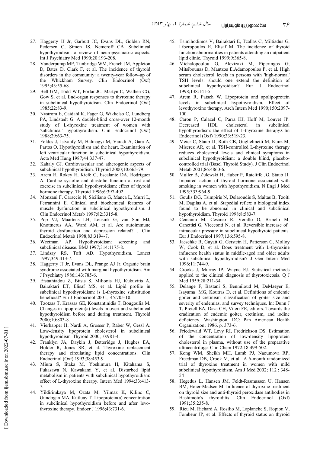- 27. Haggerty JJ Jr, Garbutt JC, Evans DL, Golden RN, Pedersen C, Simon JS, Nemeroff CB. Subclinical hypothyroidism: a review of neuropsychiatric aspects. Int J Psychiatry Med 1990;20:193-208.
- 28. Vanderpump MP, Tunbridge WM, French JM, Appleton D, Bates D, Clark F, et al. The incidence of thyroid disorders in the community: a twenty-year follow-up of the Whickham Survey. Clin Endocrinol (Oxf) 1995;43:55-68.
- 29. Bell GM, Todd WT, Forfar JC, Martyn C, Wathen CG, Gow S, et al. End-organ responses to thyroxine therapy in subclinical hypothyroidism. Clin Endocrinol (Oxf) 1985;22:83-9.
- 30. Nystrom E, Caidahl K, Fager G, Wikkelso C, Lundberg PA, Lindstedt G. A double-blind cross-over 12-month study of L-thyroxine treatment of women with 'subclinical' hypothyroidism. Clin Endocrinol (Oxf) 1988;29:63-75.
- 31. Foldes J, Istvanfy M, Halmagyi M, Varadi A, Gara A, Partos O. Hypothyroidism and the heart. Examination of left ventricular function in subclinical hypothyroidism. Acta Med Hung 1987;44:337-47.
- 32. Kahaly GJ. Cardiovascular and atherogenic aspects of subclinical hypothyroidism. Thyroid 2000;10:665-79.
- 33. Arem R, Rokey R, Kiefe C, Escalante DA, Rodriguez A. Cardiac systolic and diastolic function at rest and exercise in subclinical hypothyroidism: effect of thyroid hormone therapy. Thyroid 1996;6:397-402.
- 34. Monzani F, Caraccio N, Siciliano G, Manca L, Murri L, Ferrannini E. Clinical and biochemical features of muscle dysfunction in subclinical hypothyroidism. J Clin Endocrinol Metab 1997;82:3315-8.
- 35. Pop VJ, Maartens LH, Leusink G, van Son MJ, Knottnerus AA, Ward AM, et al. Are autoimmune thyroid dysfunction and depression related? J Clin Endocrinol Metab 1998;83:3194-7.
- AP. Hypothyroidism: 36. Weetman screening and subclinical disease. BMJ 1997;314:1175-8.
- 37. Lindsay RS, Toft AD. Hypothyroidism. Lancet 1997;349:413-7.
- 38. Haggerty JJ Jr, Evans DL, Prange AJ Jr. Organic brain syndrome associated with marginal hypothyroidism. Am J Psychiatry 1986;143:785-6.
- 39. Efstathiadou Z, Bitsis S, Milionis HJ, Kukuvitis A, Bairaktari ET, Elisaf MS, et al. Lipid profile in subclinical hypothyroidism: is L-thyroxine substitution beneficial? Eur J Endocrinol 2001;145:705-10.
- 40. Tzotzas T, Krassas GE, Konstantinidis T, Bougoulia M. Changes in lipoprotein(a) levels in overt and subclinical hypothyroidism before and during treatment. Thyroid 2000:10:803-8.
- 41. Vierhapper H, Nardi A, Grosser P, Raber W, Gessl A. Low-density lipoprotein cholesterol in subclinical hypothyroidism. Thyroid 2000;10:981-4.
- 42. Franklyn JA, Daykin J, Betteridge J, Hughes EA, Holder R, Jones SR, et al. Thyroxine replacement therapy and circulating lipid concentrations. Clin Endocrinol (Oxf) 1993;38:453-9.
- 43. Miura S, Iitaka M, Yoshimura H, Kitahama S, Fukasawa N, Kawakami Y, et al. Disturbed lipid metabolism in patients with subclinical hypothyroidism: effect of L-thyroxine therapy. Intern Med 1994;33:413-
- 44. Yildirimkaya M. Ozata M. Yilmaz K. Kilinc C. Gundogan MA, Kutluay T. Lipoprotein(a) concentration in subclinical hypothyroidism before and after levothyroxine therapy. Endocr J 1996;43:731-6.
- 45. Tsimihodimos V, Bairaktari E, Tzallas C, Miltiadus G, Liberopoulos E, Elisaf M. The incidence of thyroid function abnormalities in patients attending an outpatient lipid clinic. Thyroid 1999;9:365-8.
- 46. Michalopoulou G, Alevizaki M, Piperingos G, Mitsibounas D, Mantzos E, Adamopoulos P, et al. High serum cholesterol levels in persons with 'high-normal' TSH levels: should one extend the definition of subclinical hypothyroidism? Eur J Endocrinol 1998;138:141-5.
- 47. Arem R, Patsch W. Lipoprotein and apolipoprotein levels in subclinical hypothyroidism. Effect of levothyroxine therapy. Arch Intern Med 1990;150:2097-100
- 48. Caron P, Calazel C, Parra HJ, Hoff M, Louvet JP. Decreased HDL cholesterol in subclinical hypothyroidism: the effect of L-thyroxine therapy.Clin Endocrinol (Oxf) 1990;33:519-23.
- 49. Meier C, Staub JJ, Roth CB, Guglielmetti M, Kunz M, Miserez AR, et al. TSH-controlled L-thyroxine therapy reduces cholesterol levels and clinical symptoms in subclinical hypothyroidism: a double blind, placebocontrolled trial (Basel Thyroid Study). J Clin Endocrinol Metab 2001;86:4860-6.
- 50 Muller B, Zulewski H, Huber P, Ratcliffe JG, Staub JJ. Impaired action of thyroid hormone associated with smoking in women with hypothyroidism. N Engl J Med 1995;333:964-9.
- 51. Goulis DG, Tsimpiris N, Delaroudis S, Maltas B, Tzoiti M, Dagilas A, et al. Stapedial reflex: a biological index found to be abnormal in clinical and subclinical hypothyroidism. Thyroid 1998;8:583-7.
- 52. Centanni M, Cesareo R, Verallo O, Brinelli M, Canettiei G, Viceconti N, et al. Reversible increase of intraocular pressure in subclinical hypothyroid patients. Eur J Endocrinol 1997;136:595-8.
- Jaeschke R, Guyatt G, Gerstein H, Patterson C, Molloy 53. W, Cook D, et al. Does treatment with L-thyroxine influence health status in middle-aged and older adults with subclinical hypothyroidism? J Gen Intern Med 1996;11:744-9.
- 54. Crooks J, Murray IP, Wayne EJ. Statistical methods applied to the clinical diagnosis of thyrotoxicosis. Q J Med 1959;28:211-34.
- 55. Delange F, Bastani S, Benmiloud M, DeMaeyer E, Isayama MG, Koutras D, et al. Definitions of endemic goiter and cretinism, classification of goiter size and severity of endemias, and survey techniques. In: Dunn J T, Pretell EA, Daza CH, Viteri FE, editors. Towards the eradication of endemic goiter, cretinism, and iodine deficiency. Washington, DC: Pan American Health Organization; 1986. p. 373-6.
- 56. Friedewald WT, Levy RI, Fredrickson DS. Estimation of the concentration of low-density lipoprotein cholesterol in plasma, without use of the preparative ultracentrifuge. Clin Chem 1972;18:499-502.
- 57. Kong WM, Sheikh MH, Lumb PJ, Naoumova RP. Freedman DB, Crook M, et al. A 6-month randomized trial of thyroxine treatment in women with mild subclinical hypothyroidism. Am J Med 2002; 112 : 348-54.
- 58. Hegedus L, Hansen JM, Feldt-Rasmussen U, Hansen BM. Hoier-Madsen M. Influence of thyroxine treatment on thyroid size and anti-thyroid peroxidase antibodies in Hashimoto's thyroiditis. Clin Endocrinol (Oxf) 1991:35:235-8.
- 59. Rieu M, Richard A, Rosilio M, Laplanche S, Ropion V, Fombeur JP, et al. Effects of thyroid status on thyroid